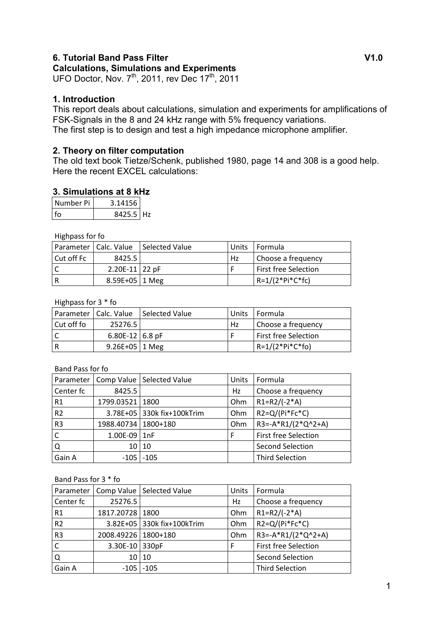#### **6. Tutorial Band Pass Filter Community Community Community Community Community Community Community Community Community Community Community Community Community Community Community Community Community Community Community Co Calculations, Simulations and Experiments**

UFO Doctor, Nov.  $7^{th}$ , 2011, rev Dec 17 $^{th}$ , 2011

## **1. Introduction**

This report deals about calculations, simulation and experiments for amplifications of FSK-Signals in the 8 and 24 kHz range with 5% frequency variations. The first step is to design and test a high impedance microphone amplifier.

# **2. Theory on filter computation**

The old text book Tietze/Schenk, published 1980, page 14 and 308 is a good help. Here the recent EXCEL calculations:

# **3. Simulations at 8 kHz**

| Number Pi | 3.14156     |  |
|-----------|-------------|--|
| l fo      | $8425.5$ Hz |  |

Highpass for fo

|            | Parameter   Calc. Value | Selected Value | Units | l Formula                   |
|------------|-------------------------|----------------|-------|-----------------------------|
| Cut off Fc | 8425.51                 |                | Hz    | Choose a frequency          |
|            | $2.20E-11$ 22 pF        |                |       | <b>First free Selection</b> |
|            | $8.59E+05$   1 Meg      |                |       | $R=1/(2*Pi*C*fc)$           |

#### Highpass for 3 \* fo

|            | Parameter   Calc. Value | Selected Value | Units | I Formula              |
|------------|-------------------------|----------------|-------|------------------------|
| Cut off fo | 25276.5                 |                | Hz    | Choose a frequency     |
|            | 6.80E-12 6.8 pF         |                |       | l First free Selection |
|            | $9.26E+05$ 1 Meg        |                |       | $R=1/(2*Pi*C*fo)$      |

#### Band Pass for fo

| Parameter      |                       | Comp Value   Selected Value | Units | Formula                     |
|----------------|-----------------------|-----------------------------|-------|-----------------------------|
| Center fc      | 8425.5                |                             | Hz    | Choose a frequency          |
| R <sub>1</sub> | 1799.03521            | 1800                        | Ohm   | $R1=R2/(-2*A)$              |
| R <sub>2</sub> |                       | 3.78E+05 330k fix+100kTrim  | Ohm   | $R2 = Q/(Pi*Fc*C)$          |
| R <sub>3</sub> | 1988.40734   1800+180 |                             | Ohm   | $R3=-A*R1/(2*Q^2+A)$        |
|                | 1.00E-09              | 1nF                         | F     | <b>First free Selection</b> |
| Q              | 10                    | 10                          |       | <b>Second Selection</b>     |
| Gain A         | $-105$                | $-105$                      |       | <b>Third Selection</b>      |

#### Band Pass for 3 \* fo

| Parameter      |                 | Comp Value   Selected Value | Units | Formula                 |
|----------------|-----------------|-----------------------------|-------|-------------------------|
| Center fc      | 25276.5         |                             | Hz    | Choose a frequency      |
| R1             | 1817.20728      | 1800                        | Ohm   | $R1 = R2 / (-2 * A)$    |
| R <sub>2</sub> |                 | 3.82E+05 330k fix+100kTrim  | Ohm   | $R2=Q/(Pi*Fc*C)$        |
| R <sub>3</sub> | 2008.49226      | 1800+180                    | Ohm   | $R3 = -A*R1/(2*Q^2+A)$  |
|                | 3.30E-10 330pF  |                             | F     | First free Selection    |
| Q              | 10 <sup>1</sup> | 10                          |       | <b>Second Selection</b> |
| Gain A         |                 | $-105$ $-105$               |       | <b>Third Selection</b>  |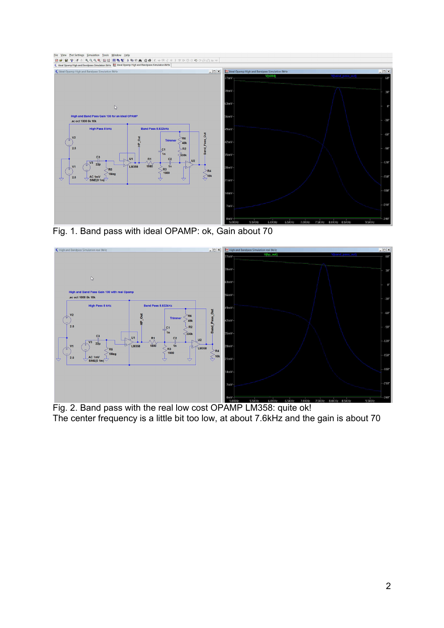

Fig. 1. Band pass with ideal OPAMP: ok, Gain about 70



Fig. 2. Band pass with the real low cost OPAMP LM358: quite ok! The center frequency is a little bit too low, at about 7.6kHz and the gain is about 70